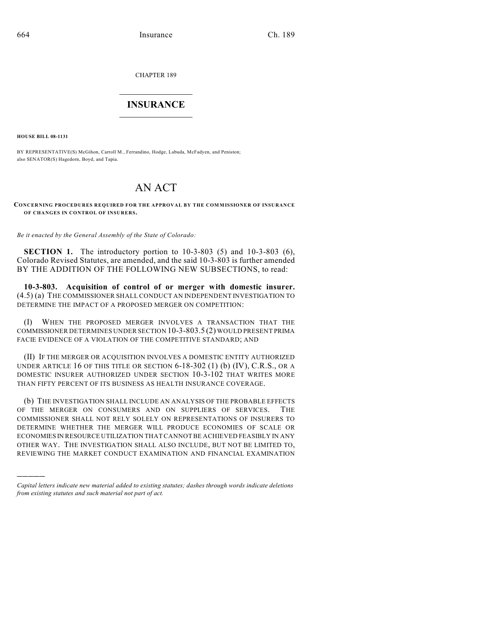CHAPTER 189

## $\overline{\phantom{a}}$  . The set of the set of the set of the set of the set of the set of the set of the set of the set of the set of the set of the set of the set of the set of the set of the set of the set of the set of the set o **INSURANCE**  $\frac{1}{2}$  ,  $\frac{1}{2}$  ,  $\frac{1}{2}$  ,  $\frac{1}{2}$  ,  $\frac{1}{2}$  ,  $\frac{1}{2}$  ,  $\frac{1}{2}$

**HOUSE BILL 08-1131**

)))))

BY REPRESENTATIVE(S) McGihon, Carroll M., Ferrandino, Hodge, Labuda, McFadyen, and Peniston; also SENATOR(S) Hagedorn, Boyd, and Tapia.

## AN ACT

**CONCERNING PROCEDURES REQUIRED FOR THE APPROVAL BY THE COMMISSIONER OF INSURANCE OF CHANGES IN CONTROL OF INSURERS.**

*Be it enacted by the General Assembly of the State of Colorado:*

**SECTION 1.** The introductory portion to 10-3-803 (5) and 10-3-803 (6), Colorado Revised Statutes, are amended, and the said 10-3-803 is further amended BY THE ADDITION OF THE FOLLOWING NEW SUBSECTIONS, to read:

**10-3-803. Acquisition of control of or merger with domestic insurer.** (4.5) (a) THE COMMISSIONER SHALL CONDUCT AN INDEPENDENT INVESTIGATION TO DETERMINE THE IMPACT OF A PROPOSED MERGER ON COMPETITION:

(I) WHEN THE PROPOSED MERGER INVOLVES A TRANSACTION THAT THE COMMISSIONER DETERMINES UNDER SECTION 10-3-803.5 (2) WOULD PRESENT PRIMA FACIE EVIDENCE OF A VIOLATION OF THE COMPETITIVE STANDARD; AND

(II) IF THE MERGER OR ACQUISITION INVOLVES A DOMESTIC ENTITY AUTHORIZED UNDER ARTICLE 16 OF THIS TITLE OR SECTION  $6-18-302$  (1) (b) (IV), C.R.S., OR A DOMESTIC INSURER AUTHORIZED UNDER SECTION 10-3-102 THAT WRITES MORE THAN FIFTY PERCENT OF ITS BUSINESS AS HEALTH INSURANCE COVERAGE.

(b) THE INVESTIGATION SHALL INCLUDE AN ANALYSIS OF THE PROBABLE EFFECTS OF THE MERGER ON CONSUMERS AND ON SUPPLIERS OF SERVICES. THE COMMISSIONER SHALL NOT RELY SOLELY ON REPRESENTATIONS OF INSURERS TO DETERMINE WHETHER THE MERGER WILL PRODUCE ECONOMIES OF SCALE OR ECONOMIES IN RESOURCE UTILIZATION THAT CANNOT BE ACHIEVED FEASIBLY IN ANY OTHER WAY. THE INVESTIGATION SHALL ALSO INCLUDE, BUT NOT BE LIMITED TO, REVIEWING THE MARKET CONDUCT EXAMINATION AND FINANCIAL EXAMINATION

*Capital letters indicate new material added to existing statutes; dashes through words indicate deletions from existing statutes and such material not part of act.*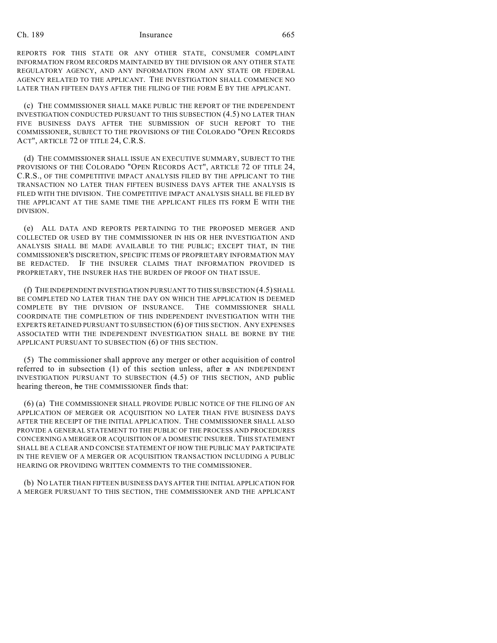## Ch. 189 Insurance 665

REPORTS FOR THIS STATE OR ANY OTHER STATE, CONSUMER COMPLAINT INFORMATION FROM RECORDS MAINTAINED BY THE DIVISION OR ANY OTHER STATE REGULATORY AGENCY, AND ANY INFORMATION FROM ANY STATE OR FEDERAL AGENCY RELATED TO THE APPLICANT. THE INVESTIGATION SHALL COMMENCE NO LATER THAN FIFTEEN DAYS AFTER THE FILING OF THE FORM E BY THE APPLICANT.

(c) THE COMMISSIONER SHALL MAKE PUBLIC THE REPORT OF THE INDEPENDENT INVESTIGATION CONDUCTED PURSUANT TO THIS SUBSECTION (4.5) NO LATER THAN FIVE BUSINESS DAYS AFTER THE SUBMISSION OF SUCH REPORT TO THE COMMISSIONER, SUBJECT TO THE PROVISIONS OF THE COLORADO "OPEN RECORDS ACT", ARTICLE 72 OF TITLE 24, C.R.S.

(d) THE COMMISSIONER SHALL ISSUE AN EXECUTIVE SUMMARY, SUBJECT TO THE PROVISIONS OF THE COLORADO "OPEN RECORDS ACT", ARTICLE 72 OF TITLE 24, C.R.S., OF THE COMPETITIVE IMPACT ANALYSIS FILED BY THE APPLICANT TO THE TRANSACTION NO LATER THAN FIFTEEN BUSINESS DAYS AFTER THE ANALYSIS IS FILED WITH THE DIVISION. THE COMPETITIVE IMPACT ANALYSIS SHALL BE FILED BY THE APPLICANT AT THE SAME TIME THE APPLICANT FILES ITS FORM E WITH THE DIVISION.

(e) ALL DATA AND REPORTS PERTAINING TO THE PROPOSED MERGER AND COLLECTED OR USED BY THE COMMISSIONER IN HIS OR HER INVESTIGATION AND ANALYSIS SHALL BE MADE AVAILABLE TO THE PUBLIC; EXCEPT THAT, IN THE COMMISSIONER'S DISCRETION, SPECIFIC ITEMS OF PROPRIETARY INFORMATION MAY BE REDACTED. IF THE INSURER CLAIMS THAT INFORMATION PROVIDED IS PROPRIETARY, THE INSURER HAS THE BURDEN OF PROOF ON THAT ISSUE.

(f) THE INDEPENDENT INVESTIGATION PURSUANT TO THIS SUBSECTION (4.5) SHALL BE COMPLETED NO LATER THAN THE DAY ON WHICH THE APPLICATION IS DEEMED COMPLETE BY THE DIVISION OF INSURANCE. THE COMMISSIONER SHALL COORDINATE THE COMPLETION OF THIS INDEPENDENT INVESTIGATION WITH THE EXPERTS RETAINED PURSUANT TO SUBSECTION (6) OF THIS SECTION. ANY EXPENSES ASSOCIATED WITH THE INDEPENDENT INVESTIGATION SHALL BE BORNE BY THE APPLICANT PURSUANT TO SUBSECTION (6) OF THIS SECTION.

(5) The commissioner shall approve any merger or other acquisition of control referred to in subsection (1) of this section unless, after  $\pi$  AN INDEPENDENT INVESTIGATION PURSUANT TO SUBSECTION (4.5) OF THIS SECTION, AND public hearing thereon, he THE COMMISSIONER finds that:

(6) (a) THE COMMISSIONER SHALL PROVIDE PUBLIC NOTICE OF THE FILING OF AN APPLICATION OF MERGER OR ACQUISITION NO LATER THAN FIVE BUSINESS DAYS AFTER THE RECEIPT OF THE INITIAL APPLICATION. THE COMMISSIONER SHALL ALSO PROVIDE A GENERAL STATEMENT TO THE PUBLIC OF THE PROCESS AND PROCEDURES CONCERNING A MERGER OR ACQUISITION OF A DOMESTIC INSURER. THIS STATEMENT SHALL BE A CLEAR AND CONCISE STATEMENT OF HOW THE PUBLIC MAY PARTICIPATE IN THE REVIEW OF A MERGER OR ACQUISITION TRANSACTION INCLUDING A PUBLIC HEARING OR PROVIDING WRITTEN COMMENTS TO THE COMMISSIONER.

(b) NO LATER THAN FIFTEEN BUSINESS DAYS AFTER THE INITIAL APPLICATION FOR A MERGER PURSUANT TO THIS SECTION, THE COMMISSIONER AND THE APPLICANT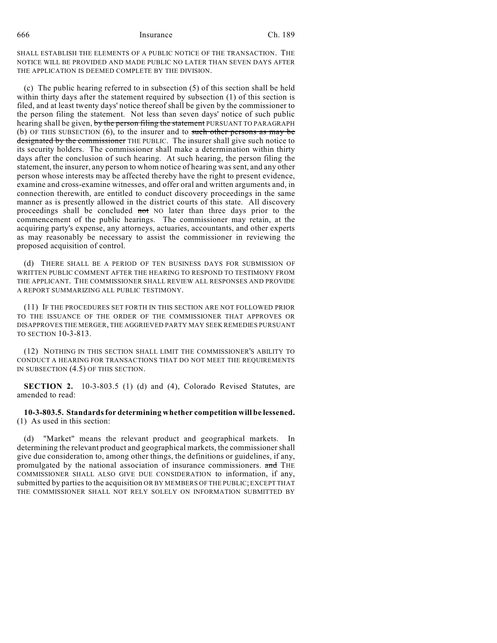666 Insurance Ch. 189

SHALL ESTABLISH THE ELEMENTS OF A PUBLIC NOTICE OF THE TRANSACTION. THE NOTICE WILL BE PROVIDED AND MADE PUBLIC NO LATER THAN SEVEN DAYS AFTER THE APPLICATION IS DEEMED COMPLETE BY THE DIVISION.

(c) The public hearing referred to in subsection (5) of this section shall be held within thirty days after the statement required by subsection (1) of this section is filed, and at least twenty days' notice thereof shall be given by the commissioner to the person filing the statement. Not less than seven days' notice of such public hearing shall be given, by the person filing the statement PURSUANT TO PARAGRAPH (b) OF THIS SUBSECTION (6), to the insurer and to such other persons as may be designated by the commissioner THE PUBLIC. The insurer shall give such notice to its security holders. The commissioner shall make a determination within thirty days after the conclusion of such hearing. At such hearing, the person filing the statement, the insurer, any person to whom notice of hearing was sent, and any other person whose interests may be affected thereby have the right to present evidence, examine and cross-examine witnesses, and offer oral and written arguments and, in connection therewith, are entitled to conduct discovery proceedings in the same manner as is presently allowed in the district courts of this state. All discovery proceedings shall be concluded not NO later than three days prior to the commencement of the public hearings. The commissioner may retain, at the acquiring party's expense, any attorneys, actuaries, accountants, and other experts as may reasonably be necessary to assist the commissioner in reviewing the proposed acquisition of control.

(d) THERE SHALL BE A PERIOD OF TEN BUSINESS DAYS FOR SUBMISSION OF WRITTEN PUBLIC COMMENT AFTER THE HEARING TO RESPOND TO TESTIMONY FROM THE APPLICANT. THE COMMISSIONER SHALL REVIEW ALL RESPONSES AND PROVIDE A REPORT SUMMARIZING ALL PUBLIC TESTIMONY.

(11) IF THE PROCEDURES SET FORTH IN THIS SECTION ARE NOT FOLLOWED PRIOR TO THE ISSUANCE OF THE ORDER OF THE COMMISSIONER THAT APPROVES OR DISAPPROVES THE MERGER, THE AGGRIEVED PARTY MAY SEEK REMEDIES PURSUANT TO SECTION 10-3-813.

(12) NOTHING IN THIS SECTION SHALL LIMIT THE COMMISSIONER'S ABILITY TO CONDUCT A HEARING FOR TRANSACTIONS THAT DO NOT MEET THE REQUIREMENTS IN SUBSECTION (4.5) OF THIS SECTION.

**SECTION 2.** 10-3-803.5 (1) (d) and (4), Colorado Revised Statutes, are amended to read:

**10-3-803.5. Standards for determining whether competition will be lessened.** (1) As used in this section:

(d) "Market" means the relevant product and geographical markets. In determining the relevant product and geographical markets, the commissioner shall give due consideration to, among other things, the definitions or guidelines, if any, promulgated by the national association of insurance commissioners. and THE COMMISSIONER SHALL ALSO GIVE DUE CONSIDERATION to information, if any, submitted by parties to the acquisition OR BY MEMBERS OF THE PUBLIC; EXCEPT THAT THE COMMISSIONER SHALL NOT RELY SOLELY ON INFORMATION SUBMITTED BY